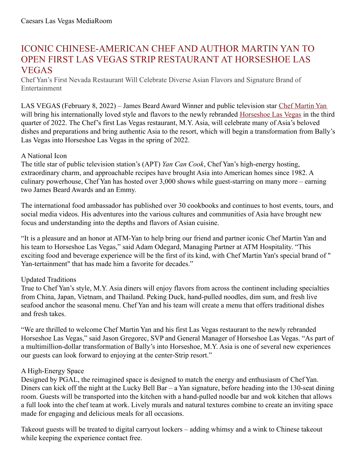# ICONIC CHINESE-AMERICAN CHEF AND AUTHOR MARTIN YAN TO OPEN FIRST LAS VEGAS STRIP RESTAURANT AT HORSESHOE LAS VEGAS

Chef Yan's First Nevada Restaurant Will Celebrate Diverse Asian Flavors and Signature Brand of Entertainment

LAS VEGAS (February 8, 2022) – James Beard Award Winner and public television star Chef [Martin](https://yancancook.com/home/) Yan will bring his internationally loved style and flavors to the newly rebranded [Horseshoe](https://www.caesars.com/ballys-las-vegas) Las Vegas in the third quarter of 2022. The Chef's first Las Vegas restaurant, M.Y. Asia, will celebrate many of Asia's beloved dishes and preparations and bring authentic Asia to the resort, which will begin a transformation from Bally's Las Vegas into Horseshoe Las Vegas in the spring of 2022.

## A National Icon

The title star of public television station's (APT) *Yan Can Cook*, Chef Yan's high-energy hosting, extraordinary charm, and approachable recipes have brought Asia into American homes since 1982. A culinary powerhouse, Chef Yan has hosted over 3,000 shows while guest-starring on many more – earning two James Beard Awards and an Emmy.

The international food ambassador has published over 30 cookbooks and continues to host events, tours, and social media videos. His adventures into the various cultures and communities of Asia have brought new focus and understanding into the depths and flavors of Asian cuisine.

"It is a pleasure and an honor at ATM-Yan to help bring our friend and partner iconic Chef Martin Yan and his team to Horseshoe Las Vegas," said Adam Odegard, Managing Partner at ATM Hospitality. "This exciting food and beverage experience will be the first of its kind, with Chef Martin Yan's special brand of " Yan-tertainment" that has made him a favorite for decades."

## Updated Traditions

True to Chef Yan's style, M.Y. Asia diners will enjoy flavors from across the continent including specialties from China, Japan, Vietnam, and Thailand. Peking Duck, hand-pulled noodles, dim sum, and fresh live seafood anchor the seasonal menu. Chef Yan and his team will create a menu that offers traditional dishes and fresh takes.

"We are thrilled to welcome Chef Martin Yan and his first Las Vegas restaurant to the newly rebranded Horseshoe Las Vegas," said Jason Gregorec, SVP and General Manager of Horseshoe Las Vegas. "As part of a multimillion-dollar transformation of Bally's into Horseshoe, M.Y. Asia is one of several new experiences our guests can look forward to enjoying at the center-Strip resort."

## A High-Energy Space

Designed by PGAL, the reimagined space is designed to match the energy and enthusiasm of Chef Yan. Diners can kick off the night at the Lucky Bell Bar – a Yan signature, before heading into the 130-seat dining room. Guests will be transported into the kitchen with a hand-pulled noodle bar and wok kitchen that allows a full look into the chef team at work. Lively murals and natural textures combine to create an inviting space made for engaging and delicious meals for all occasions.

Takeout guests will be treated to digital carryout lockers – adding whimsy and a wink to Chinese takeout while keeping the experience contact free.